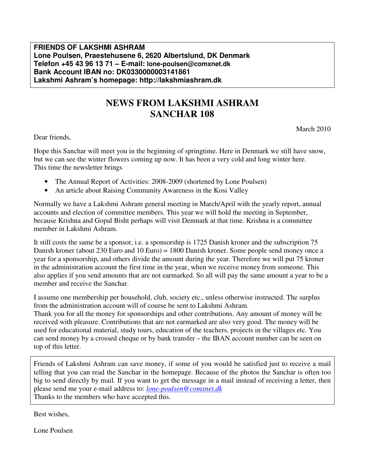### **FRIENDS OF LAKSHMI ASHRAM Lone Poulsen, Praestehusene 6, 2620 Albertslund, DK Denmark Telefon +45 43 96 13 71 – E-mail: lone-poulsen@comxnet.dk Bank Account IBAN no: DK0330000003141861 Lakshmi Ashram's homepage: http://lakshmiashram.dk**

# **NEWS FROM LAKSHMI ASHRAM SANCHAR 108**

March 2010

Dear friends,

Hope this Sanchar will meet you in the beginning of springtime. Here in Denmark we still have snow, but we can see the winter flowers coming up now. It has been a very cold and long winter here. This time the newsletter brings

- The Annual Report of Activities: 2008-2009 (shortened by Lone Poulsen)
- An article about Raising Community Awareness in the Kosi Valley

Normally we have a Lakshmi Ashram general meeting in March/April with the yearly report, annual accounts and election of committee members. This year we will hold the meeting in September, because Krishna and Gopal Bisht perhaps will visit Denmark at that time. Krishna is a committee member in Lakshmi Ashram.

It still costs the same be a sponsor, i.e. a sponsorship is 1725 Danish kroner and the subscription 75 Danish kroner (about 230 Euro and 10 Euro) = 1800 Danish kroner. Some people send money once a year for a sponsorship, and others divide the amount during the year. Therefore we will put 75 kroner in the administration account the first time in the year, when we receive money from someone. This also applies if you send amounts that are not earmarked. So all will pay the same amount a year to be a member and receive the Sanchar.

I assume one membership per household, club, society etc., unless otherwise instructed. The surplus from the administration account will of course be sent to Lakshmi Ashram.

Thank you for all the money for sponsorships and other contributions. Any amount of money will be received with pleasure. Contributions that are not earmarked are also very good. The money will be used for educational material, study tours, education of the teachers, projects in the villages etc. You can send money by a crossed cheque or by bank transfer – the IBAN account number can be seen on top of this letter.

Friends of Lakshmi Ashram can save money, if some of you would be satisfied just to receive a mail telling that you can read the Sanchar in the homepage. Because of the photos the Sanchar is often too big to send directly by mail. If you want to get the message in a mail instead of receiving a letter, then please send me your e-mail address to: *lone-poulsen@comxnet.dk* Thanks to the members who have accepted this.

Best wishes,

Lone Poulsen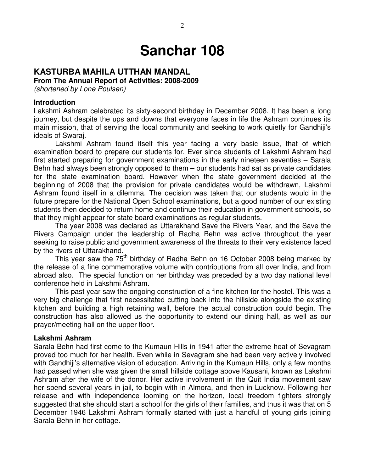# **Sanchar 108**

## **KASTURBA MAHILA UTTHAN MANDAL**

**From The Annual Report of Activities: 2008-2009** 

(shortened by Lone Poulsen)

#### **Introduction**

Lakshmi Ashram celebrated its sixty-second birthday in December 2008. It has been a long journey, but despite the ups and downs that everyone faces in life the Ashram continues its main mission, that of serving the local community and seeking to work quietly for Gandhiji's ideals of Swaraj.

Lakshmi Ashram found itself this year facing a very basic issue, that of which examination board to prepare our students for. Ever since students of Lakshmi Ashram had first started preparing for government examinations in the early nineteen seventies – Sarala Behn had always been strongly opposed to them – our students had sat as private candidates for the state examination board. However when the state government decided at the beginning of 2008 that the provision for private candidates would be withdrawn, Lakshmi Ashram found itself in a dilemma. The decision was taken that our students would in the future prepare for the National Open School examinations, but a good number of our existing students then decided to return home and continue their education in government schools, so that they might appear for state board examinations as regular students.

 The year 2008 was declared as Uttarakhand Save the Rivers Year, and the Save the Rivers Campaign under the leadership of Radha Behn was active throughout the year seeking to raise public and government awareness of the threats to their very existence faced by the rivers of Uttarakhand.

This year saw the 75<sup>th</sup> birthday of Radha Behn on 16 October 2008 being marked by the release of a fine commemorative volume with contributions from all over India, and from abroad also. The special function on her birthday was preceded by a two day national level conference held in Lakshmi Ashram.

 This past year saw the ongoing construction of a fine kitchen for the hostel. This was a very big challenge that first necessitated cutting back into the hillside alongside the existing kitchen and building a high retaining wall, before the actual construction could begin. The construction has also allowed us the opportunity to extend our dining hall, as well as our prayer/meeting hall on the upper floor.

#### **Lakshmi Ashram**

Sarala Behn had first come to the Kumaun Hills in 1941 after the extreme heat of Sevagram proved too much for her health. Even while in Sevagram she had been very actively involved with Gandhiji's alternative vision of education. Arriving in the Kumaun Hills, only a few months had passed when she was given the small hillside cottage above Kausani, known as Lakshmi Ashram after the wife of the donor. Her active involvement in the Quit India movement saw her spend several years in jail, to begin with in Almora, and then in Lucknow. Following her release and with independence looming on the horizon, local freedom fighters strongly suggested that she should start a school for the girls of their families, and thus it was that on 5 December 1946 Lakshmi Ashram formally started with just a handful of young girls joining Sarala Behn in her cottage.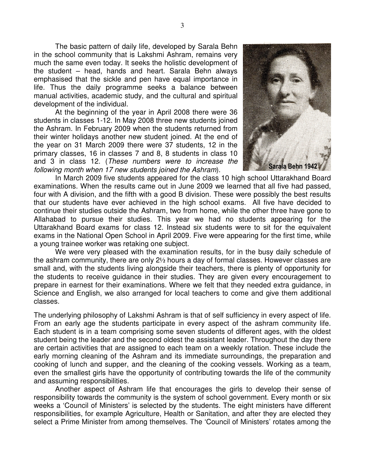The basic pattern of daily life, developed by Sarala Behn in the school community that is Lakshmi Ashram, remains very much the same even today. It seeks the holistic development of the student – head, hands and heart. Sarala Behn always emphasised that the sickle and pen have equal importance in life. Thus the daily programme seeks a balance between manual activities, academic study, and the cultural and spiritual development of the individual.

 At the beginning of the year in April 2008 there were 36 students in classes 1-12. In May 2008 three new students joined the Ashram. In February 2009 when the students returned from their winter holidays another new student joined. At the end of the year on 31 March 2009 there were 37 students, 12 in the primary classes, 16 in classes 7 and 8, 8 students in class 10 and 3 in class 12. (These numbers were to increase the following month when 17 new students joined the Ashram).



 In March 2009 five students appeared for the class 10 high school Uttarakhand Board examinations. When the results came out in June 2009 we learned that all five had passed, four with A division, and the fifth with a good B division. These were possibly the best results that our students have ever achieved in the high school exams. All five have decided to continue their studies outside the Ashram, two from home, while the other three have gone to Allahabad to pursue their studies. This year we had no students appearing for the Uttarakhand Board exams for class 12. Instead six students were to sit for the equivalent exams in the National Open School in April 2009. Five were appearing for the first time, while a young trainee worker was retaking one subject.

 We were very pleased with the examination results, for in the busy daily schedule of the ashram community, there are only 2½ hours a day of formal classes. However classes are small and, with the students living alongside their teachers, there is plenty of opportunity for the students to receive guidance in their studies. They are given every encouragement to prepare in earnest for their examinations. Where we felt that they needed extra guidance, in Science and English, we also arranged for local teachers to come and give them additional classes.

The underlying philosophy of Lakshmi Ashram is that of self sufficiency in every aspect of life. From an early age the students participate in every aspect of the ashram community life. Each student is in a team comprising some seven students of different ages, with the oldest student being the leader and the second oldest the assistant leader. Throughout the day there are certain activities that are assigned to each team on a weekly rotation. These include the early morning cleaning of the Ashram and its immediate surroundings, the preparation and cooking of lunch and supper, and the cleaning of the cooking vessels. Working as a team, even the smallest girls have the opportunity of contributing towards the life of the community and assuming responsibilities.

 Another aspect of Ashram life that encourages the girls to develop their sense of responsibility towards the community is the system of school government. Every month or six weeks a 'Council of Ministers' is selected by the students. The eight ministers have different responsibilities, for example Agriculture, Health or Sanitation, and after they are elected they select a Prime Minister from among themselves. The 'Council of Ministers' rotates among the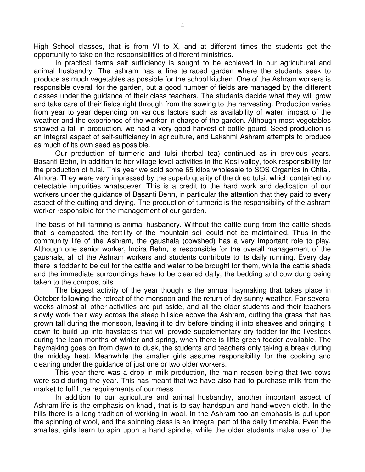High School classes, that is from VI to X, and at different times the students get the opportunity to take on the responsibilities of different ministries.

 In practical terms self sufficiency is sought to be achieved in our agricultural and animal husbandry. The ashram has a fine terraced garden where the students seek to produce as much vegetables as possible for the school kitchen. One of the Ashram workers is responsible overall for the garden, but a good number of fields are managed by the different classes under the guidance of their class teachers. The students decide what they will grow and take care of their fields right through from the sowing to the harvesting. Production varies from year to year depending on various factors such as availability of water, impact of the weather and the experience of the worker in charge of the garden. Although most vegetables showed a fall in production, we had a very good harvest of bottle gourd. Seed production is an integral aspect of self-sufficiency in agriculture, and Lakshmi Ashram attempts to produce as much of its own seed as possible.

Our production of turmeric and tulsi (herbal tea) continued as in previous years. Basanti Behn, in addition to her village level activities in the Kosi valley, took responsibility for the production of tulsi. This year we sold some 65 kilos wholesale to SOS Organics in Chitai, Almora. They were very impressed by the superb quality of the dried tulsi, which contained no detectable impurities whatsoever. This is a credit to the hard work and dedication of our workers under the guidance of Basanti Behn, in particular the attention that they paid to every aspect of the cutting and drying. The production of turmeric is the responsibility of the ashram worker responsible for the management of our garden.

The basis of hill farming is animal husbandry. Without the cattle dung from the cattle sheds that is composted, the fertility of the mountain soil could not be maintained. Thus in the community life of the Ashram, the gaushala (cowshed) has a very important role to play. Although one senior worker, Indira Behn, is responsible for the overall management of the gaushala, all of the Ashram workers and students contribute to its daily running. Every day there is fodder to be cut for the cattle and water to be brought for them, while the cattle sheds and the immediate surroundings have to be cleaned daily, the bedding and cow dung being taken to the compost pits.

 The biggest activity of the year though is the annual haymaking that takes place in October following the retreat of the monsoon and the return of dry sunny weather. For several weeks almost all other activities are put aside, and all the older students and their teachers slowly work their way across the steep hillside above the Ashram, cutting the grass that has grown tall during the monsoon, leaving it to dry before binding it into sheaves and bringing it down to build up into haystacks that will provide supplementary dry fodder for the livestock during the lean months of winter and spring, when there is little green fodder available. The haymaking goes on from dawn to dusk, the students and teachers only taking a break during the midday heat. Meanwhile the smaller girls assume responsibility for the cooking and cleaning under the guidance of just one or two older workers.

 This year there was a drop in milk production, the main reason being that two cows were sold during the year. This has meant that we have also had to purchase milk from the market to fulfil the requirements of our mess.

 In addition to our agriculture and animal husbandry, another important aspect of Ashram life is the emphasis on khadi, that is to say handspun and hand-woven cloth. In the hills there is a long tradition of working in wool. In the Ashram too an emphasis is put upon the spinning of wool, and the spinning class is an integral part of the daily timetable. Even the smallest girls learn to spin upon a hand spindle, while the older students make use of the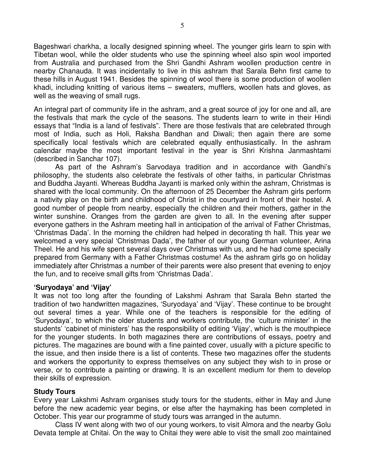Bageshwari charkha, a locally designed spinning wheel. The younger girls learn to spin with Tibetan wool, while the older students who use the spinning wheel also spin wool imported from Australia and purchased from the Shri Gandhi Ashram woollen production centre in nearby Chanauda. It was incidentally to live in this ashram that Sarala Behn first came to these hills in August 1941. Besides the spinning of wool there is some production of woollen khadi, including knitting of various items – sweaters, mufflers, woollen hats and gloves, as well as the weaving of small rugs.

An integral part of community life in the ashram, and a great source of joy for one and all, are the festivals that mark the cycle of the seasons. The students learn to write in their Hindi essays that "India is a land of festivals". There are those festivals that are celebrated through most of India, such as Holi, Raksha Bandhan and Diwali; then again there are some specifically local festivals which are celebrated equally enthusiastically. In the ashram calendar maybe the most important festival in the year is Shri Krishna Janmashtami (described in Sanchar 107).

 As part of the Ashram's Sarvodaya tradition and in accordance with Gandhi's philosophy, the students also celebrate the festivals of other faiths, in particular Christmas and Buddha Jayanti. Whereas Buddha Jayanti is marked only within the ashram, Christmas is shared with the local community. On the afternoon of 25 December the Ashram girls perform a nativity play on the birth and childhood of Christ in the courtyard in front of their hostel. A good number of people from nearby, especially the children and their mothers, gather in the winter sunshine. Oranges from the garden are given to all. In the evening after supper everyone gathers in the Ashram meeting hall in anticipation of the arrival of Father Christmas, 'Christmas Dada'. In the morning the children had helped in decorating th hall. This year we welcomed a very special 'Christmas Dada', the father of our young German volunteer, Arina Theel. He and his wife spent several days over Christmas with us, and he had come specially prepared from Germany with a Father Christmas costume! As the ashram girls go on holiday immediately after Christmas a number of their parents were also present that evening to enjoy the fun, and to receive small gifts from 'Christmas Dada'.

#### **'Suryodaya' and 'Vijay'**

It was not too long after the founding of Lakshmi Ashram that Sarala Behn started the tradition of two handwritten magazines, 'Suryodaya' and 'Vijay'. These continue to be brought out several times a year. While one of the teachers is responsible for the editing of 'Suryodaya', to which the older students and workers contribute, the 'culture minister' in the students' 'cabinet of ministers' has the responsibility of editing 'Vijay', which is the mouthpiece for the younger students. In both magazines there are contributions of essays, poetry and pictures. The magazines are bound with a fine painted cover, usually with a picture specific to the issue, and then inside there is a list of contents. These two magazines offer the students and workers the opportunity to express themselves on any subject they wish to in prose or verse, or to contribute a painting or drawing. It is an excellent medium for them to develop their skills of expression.

### **Study Tours**

Every year Lakshmi Ashram organises study tours for the students, either in May and June before the new academic year begins, or else after the haymaking has been completed in October. This year our programme of study tours was arranged in the autumn.

 Class IV went along with two of our young workers, to visit Almora and the nearby Golu Devata temple at Chitai. On the way to Chitai they were able to visit the small zoo maintained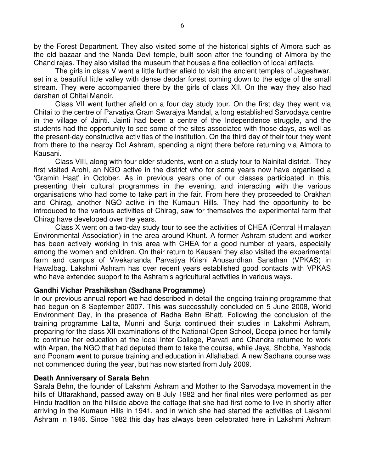by the Forest Department. They also visited some of the historical sights of Almora such as the old bazaar and the Nanda Devi temple, built soon after the founding of Almora by the Chand rajas. They also visited the museum that houses a fine collection of local artifacts.

 The girls in class V went a little further afield to visit the ancient temples of Jageshwar, set in a beautiful little valley with dense deodar forest coming down to the edge of the small stream. They were accompanied there by the girls of class XII. On the way they also had darshan of Chitai Mandir.

 Class VII went further afield on a four day study tour. On the first day they went via Chitai to the centre of Parvatiya Gram Swarajya Mandal, a long established Sarvodaya centre in the village of Jainti. Jainti had been a centre of the Independence struggle, and the students had the opportunity to see some of the sites associated with those days, as well as the present-day constructive activities of the institution. On the third day of their tour they went from there to the nearby Dol Ashram, spending a night there before returning via Almora to Kausani.

 Class VIII, along with four older students, went on a study tour to Nainital district. They first visited Arohi, an NGO active in the district who for some years now have organised a 'Gramin Haat' in October. As in previous years one of our classes participated in this, presenting their cultural programmes in the evening, and interacting with the various organisations who had come to take part in the fair. From here they proceeded to Orakhan and Chirag, another NGO active in the Kumaun Hills. They had the opportunity to be introduced to the various activities of Chirag, saw for themselves the experimental farm that Chirag have developed over the years.

Class X went on a two-day study tour to see the activities of CHEA (Central Himalayan Environmental Association) in the area around Khunt. A former Ashram student and worker has been actively working in this area with CHEA for a good number of years, especially among the women and children. On their return to Kausani they also visited the experimental farm and campus of Vivekananda Parvatiya Krishi Anusandhan Sansthan (VPKAS) in Hawalbag. Lakshmi Ashram has over recent years established good contacts with VPKAS who have extended support to the Ashram's agricultural activities in various ways.

#### **Gandhi Vichar Prashikshan (Sadhana Programme)**

In our previous annual report we had described in detail the ongoing training programme that had begun on 8 September 2007. This was successfully concluded on 5 June 2008, World Environment Day, in the presence of Radha Behn Bhatt. Following the conclusion of the training programme Lalita, Munni and Surja continued their studies in Lakshmi Ashram, preparing for the class XII examinations of the National Open School, Deepa joined her family to continue her education at the local Inter College, Parvati and Chandra returned to work with Arpan, the NGO that had deputed them to take the course, while Jaya, Shobha, Yashoda and Poonam went to pursue training and education in Allahabad. A new Sadhana course was not commenced during the year, but has now started from July 2009.

#### **Death Anniversary of Sarala Behn**

Sarala Behn, the founder of Lakshmi Ashram and Mother to the Sarvodaya movement in the hills of Uttarakhand, passed away on 8 July 1982 and her final rites were performed as per Hindu tradition on the hillside above the cottage that she had first come to live in shortly after arriving in the Kumaun Hills in 1941, and in which she had started the activities of Lakshmi Ashram in 1946. Since 1982 this day has always been celebrated here in Lakshmi Ashram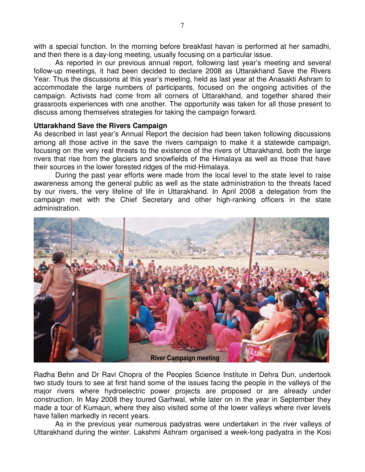with a special function. In the morning before breakfast havan is performed at her samadhi, and then there is a day-long meeting, usually focusing on a particular issue.

 As reported in our previous annual report, following last year's meeting and several follow-up meetings, it had been decided to declare 2008 as Uttarakhand Save the Rivers Year. Thus the discussions at this year's meeting, held as last year at the Anasakti Ashram to accommodate the large numbers of participants, focused on the ongoing activities of the campaign. Activists had come from all corners of Uttarakhand, and together shared their grassroots experiences with one another. The opportunity was taken for all those present to discuss among themselves strategies for taking the campaign forward.

#### **Uttarakhand Save the Rivers Campaign**

As described in last year's Annual Report the decision had been taken following discussions among all those active in the save the rivers campaign to make it a statewide campaign, focusing on the very real threats to the existence of the rivers of Uttarakhand, both the large rivers that rise from the glaciers and snowfields of the Himalaya as well as those that have their sources in the lower forested ridges of the mid-Himalaya.

 During the past year efforts were made from the local level to the state level to raise awareness among the general public as well as the state administration to the threats faced by our rivers, the very lifeline of life in Uttarakhand. In April 2008 a delegation from the campaign met with the Chief Secretary and other high-ranking officers in the state administration.



Radha Behn and Dr Ravi Chopra of the Peoples Science Institute in Dehra Dun, undertook two study tours to see at first hand some of the issues facing the people in the valleys of the major rivers where hydroelectric power projects are proposed or are already under construction. In May 2008 they toured Garhwal, while later on in the year in September they made a tour of Kumaun, where they also visited some of the lower valleys where river levels have fallen markedly in recent years.

 As in the previous year numerous padyatras were undertaken in the river valleys of Uttarakhand during the winter. Lakshmi Ashram organised a week-long padyatra in the Kosi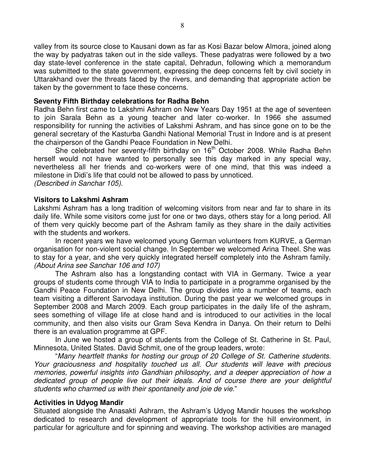valley from its source close to Kausani down as far as Kosi Bazar below Almora, joined along the way by padyatras taken out in the side valleys. These padyatras were followed by a two day state-level conference in the state capital, Dehradun, following which a memorandum was submitted to the state government, expressing the deep concerns felt by civil society in Uttarakhand over the threats faced by the rivers, and demanding that appropriate action be taken by the government to face these concerns.

#### **Seventy Fifth Birthday celebrations for Radha Behn**

Radha Behn first came to Lakshmi Ashram on New Years Day 1951 at the age of seventeen to join Sarala Behn as a young teacher and later co-worker. In 1966 she assumed responsibility for running the activities of Lakshmi Ashram, and has since gone on to be the general secretary of the Kasturba Gandhi National Memorial Trust in Indore and is at present the chairperson of the Gandhi Peace Foundation in New Delhi.

She celebrated her seventy-fifth birthday on 16<sup>th</sup> October 2008. While Radha Behn herself would not have wanted to personally see this day marked in any special way, nevertheless all her friends and co-workers were of one mind, that this was indeed a milestone in Didi's life that could not be allowed to pass by unnoticed. (Described in Sanchar 105).

#### **Visitors to Lakshmi Ashram**

Lakshmi Ashram has a long tradition of welcoming visitors from near and far to share in its daily life. While some visitors come just for one or two days, others stay for a long period. All of them very quickly become part of the Ashram family as they share in the daily activities with the students and workers.

 In recent years we have welcomed young German volunteers from KURVE, a German organisation for non-violent social change. In September we welcomed Arina Theel. She was to stay for a year, and she very quickly integrated herself completely into the Ashram family. (About Arina see Sanchar 106 and 107)

 The Ashram also has a longstanding contact with VIA in Germany. Twice a year groups of students come through VIA to India to participate in a programme organised by the Gandhi Peace Foundation in New Delhi. The group divides into a number of teams, each team visiting a different Sarvodaya institution. During the past year we welcomed groups in September 2008 and March 2009. Each group participates in the daily life of the ashram, sees something of village life at close hand and is introduced to our activities in the local community, and then also visits our Gram Seva Kendra in Danya. On their return to Delhi there is an evaluation programme at GPF.

 In June we hosted a group of students from the College of St. Catherine in St. Paul, Minnesota, United States. David Schmit, one of the group leaders, wrote:

 "Many heartfelt thanks for hosting our group of 20 College of St. Catherine students. Your graciousness and hospitality touched us all. Our students will leave with precious memories, powerful insights into Gandhian philosophy, and a deeper appreciation of how a dedicated group of people live out their ideals. And of course there are your delightful students who charmed us with their spontaneity and joie de vie."

#### **Activities in Udyog Mandir**

Situated alongside the Anasakti Ashram, the Ashram's Udyog Mandir houses the workshop dedicated to research and development of appropriate tools for the hill environment, in particular for agriculture and for spinning and weaving. The workshop activities are managed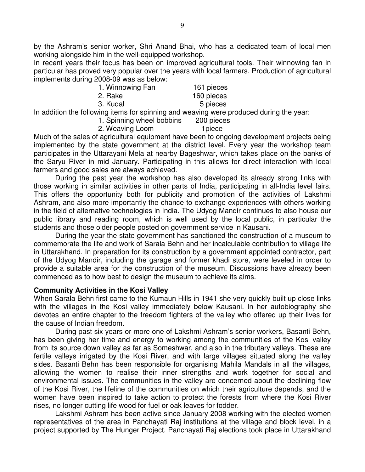by the Ashram's senior worker, Shri Anand Bhai, who has a dedicated team of local men working alongside him in the well-equipped workshop.

In recent years their focus has been on improved agricultural tools. Their winnowing fan in particular has proved very popular over the years with local farmers. Production of agricultural implements during 2008-09 was as below:

| 1. Winnowing Fan                                                | 161 pieces |
|-----------------------------------------------------------------|------------|
| 2. Rake                                                         | 160 pieces |
| 3. Kudal                                                        | 5 pieces   |
| In addition the following items for eninging and weaving were r |            |

In addition the following items for spinning and weaving were produced during the year:

 1. Spinning wheel bobbins 200 pieces 2. Weaving Loom 1 piece

Much of the sales of agricultural equipment have been to ongoing development projects being implemented by the state government at the district level. Every year the workshop team participates in the Uttarayani Mela at nearby Bageshwar, which takes place on the banks of the Saryu River in mid January. Participating in this allows for direct interaction with local farmers and good sales are always achieved.

 During the past year the workshop has also developed its already strong links with those working in similar activities in other parts of India, participating in all-India level fairs. This offers the opportunity both for publicity and promotion of the activities of Lakshmi Ashram, and also more importantly the chance to exchange experiences with others working in the field of alternative technologies in India. The Udyog Mandir continues to also house our public library and reading room, which is well used by the local public, in particular the students and those older people posted on government service in Kausani.

 During the year the state government has sanctioned the construction of a museum to commemorate the life and work of Sarala Behn and her incalculable contribution to village life in Uttarakhand. In preparation for its construction by a government appointed contractor, part of the Udyog Mandir, including the garage and former khadi store, were leveled in order to provide a suitable area for the construction of the museum. Discussions have already been commenced as to how best to design the museum to achieve its aims.

### **Community Activities in the Kosi Valley**

When Sarala Behn first came to the Kumaun Hills in 1941 she very quickly built up close links with the villages in the Kosi valley immediately below Kausani. In her autobiography she devotes an entire chapter to the freedom fighters of the valley who offered up their lives for the cause of Indian freedom.

 During past six years or more one of Lakshmi Ashram's senior workers, Basanti Behn, has been giving her time and energy to working among the communities of the Kosi valley from its source down valley as far as Someshwar, and also in the tributary valleys. These are fertile valleys irrigated by the Kosi River, and with large villages situated along the valley sides. Basanti Behn has been responsible for organising Mahila Mandals in all the villages, allowing the women to realise their inner strengths and work together for social and environmental issues. The communities in the valley are concerned about the declining flow of the Kosi River, the lifeline of the communities on which their agriculture depends, and the women have been inspired to take action to protect the forests from where the Kosi River rises, no longer cutting life wood for fuel or oak leaves for fodder.

 Lakshmi Ashram has been active since January 2008 working with the elected women representatives of the area in Panchayati Raj institutions at the village and block level, in a project supported by The Hunger Project. Panchayati Raj elections took place in Uttarakhand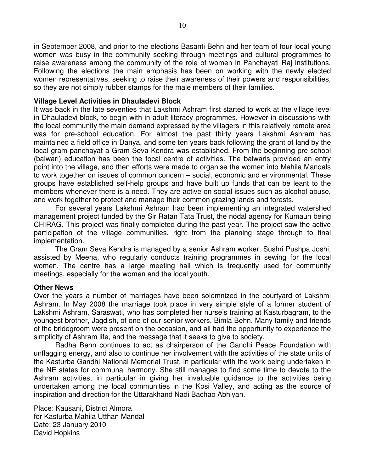in September 2008, and prior to the elections Basanti Behn and her team of four local young women was busy in the community seeking through meetings and cultural programmes to raise awareness among the community of the role of women in Panchayati Raj institutions. Following the elections the main emphasis has been on working with the newly elected women representatives, seeking to raise their awareness of their powers and responsibilities, so they are not simply rubber stamps for the male members of their families.

#### **Village Level Activities in Dhauladevi Block**

It was back in the late seventies that Lakshmi Ashram first started to work at the village level in Dhauladevi block, to begin with in adult literacy programmes. However in discussions with the local community the main demand expressed by the villagers in this relatively remote area was for pre-school education. For almost the past thirty years Lakshmi Ashram has maintained a field office in Danya, and some ten years back following the grant of land by the local gram panchayat a Gram Seva Kendra was established. From the beginning pre-school (balwari) education has been the focal centre of activities. The balwaris provided an entry point into the village, and then efforts were made to organise the women into Mahila Mandals to work together on issues of common concern – social, economic and environmental. These groups have established self-help groups and have built up funds that can be leant to the members whenever there is a need. They are active on social issues such as alcohol abuse, and work together to protect and manage their common grazing lands and forests.

 For several years Lakshmi Ashram had been implementing an integrated watershed management project funded by the Sir Ratan Tata Trust, the nodal agency for Kumaun being CHIRAG. This project was finally completed during the past year. The project saw the active participation of the village communities, right from the planning stage through to final implementation.

 The Gram Seva Kendra is managed by a senior Ashram worker, Sushri Pushpa Joshi, assisted by Meena, who regularly conducts training programmes in sewing for the local women. The centre has a large meeting hall which is frequently used for community meetings, especially for the women and the local youth.

#### **Other News**

Over the years a number of marriages have been solemnized in the courtyard of Lakshmi Ashram. In May 2008 the marriage took place in very simple style of a former student of Lakshmi Ashram, Saraswati, who has completed her nurse's training at Kasturbagram, to the youngest brother, Jagdish, of one of our senior workers, Bimla Behn. Many family and friends of the bridegroom were present on the occasion, and all had the opportunity to experience the simplicity of Ashram life, and the message that it seeks to give to society.

 Radha Behn continues to act as chairperson of the Gandhi Peace Foundation with unflagging energy, and also to continue her involvement with the activities of the state units of the Kasturba Gandhi National Memorial Trust, in particular with the work being undertaken in the NE states for communal harmony. She still manages to find some time to devote to the Ashram activities, in particular in giving her invaluable guidance to the activities being undertaken among the local communities in the Kosi Valley, and acting as the source of inspiration and direction for the Uttarakhand Nadi Bachao Abhiyan.

Place: Kausani, District Almora for Kasturba Mahila Utthan Mandal Date: 23 January 2010 David Hopkins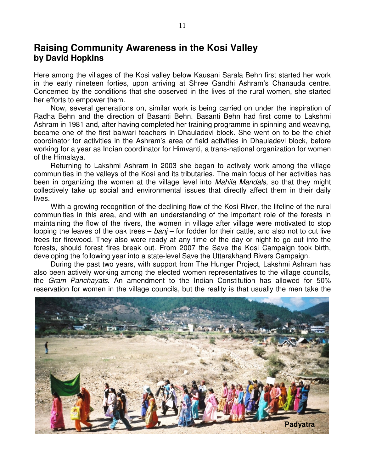# **Raising Community Awareness in the Kosi Valley by David Hopkins**

Here among the villages of the Kosi valley below Kausani Sarala Behn first started her work in the early nineteen forties, upon arriving at Shree Gandhi Ashram's Chanauda centre. Concerned by the conditions that she observed in the lives of the rural women, she started her efforts to empower them.

Now, several generations on, similar work is being carried on under the inspiration of Radha Behn and the direction of Basanti Behn. Basanti Behn had first come to Lakshmi Ashram in 1981 and, after having completed her training programme in spinning and weaving, became one of the first balwari teachers in Dhauladevi block. She went on to be the chief coordinator for activities in the Ashram's area of field activities in Dhauladevi block, before working for a year as Indian coordinator for Himvanti, a trans-national organization for women of the Himalaya.

Returning to Lakshmi Ashram in 2003 she began to actively work among the village communities in the valleys of the Kosi and its tributaries. The main focus of her activities has been in organizing the women at the village level into *Mahila Mandals*, so that they might collectively take up social and environmental issues that directly affect them in their daily lives.

With a growing recognition of the declining flow of the Kosi River, the lifeline of the rural communities in this area, and with an understanding of the important role of the forests in maintaining the flow of the rivers, the women in village after village were motivated to stop lopping the leaves of the oak trees  $-$  banj  $-$  for fodder for their cattle, and also not to cut live trees for firewood. They also were ready at any time of the day or night to go out into the forests, should forest fires break out. From 2007 the Save the Kosi Campaign took birth, developing the following year into a state-level Save the Uttarakhand Rivers Campaign.

During the past two years, with support from The Hunger Project, Lakshmi Ashram has also been actively working among the elected women representatives to the village councils, the Gram Panchayats. An amendment to the Indian Constitution has allowed for 50% reservation for women in the village councils, but the reality is that usually the men take the